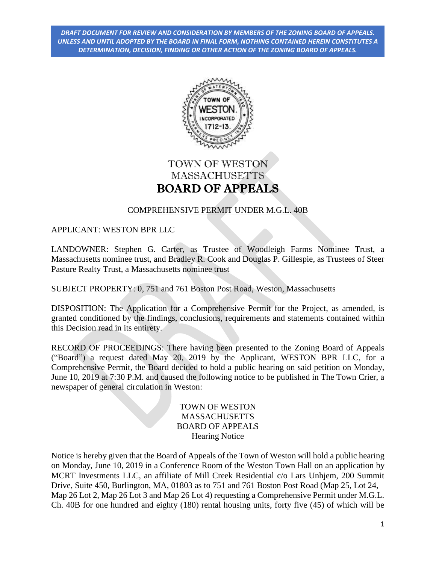

# TOWN OF WESTON **MASSACHUSETTS** BOARD OF APPEALS

## COMPREHENSIVE PERMIT UNDER M.G.L. 40B

APPLICANT: WESTON BPR LLC

LANDOWNER: Stephen G. Carter, as Trustee of Woodleigh Farms Nominee Trust, a Massachusetts nominee trust, and Bradley R. Cook and Douglas P. Gillespie, as Trustees of Steer Pasture Realty Trust, a Massachusetts nominee trust

SUBJECT PROPERTY: 0, 751 and 761 Boston Post Road, Weston, Massachusetts

DISPOSITION: The Application for a Comprehensive Permit for the Project, as amended, is granted conditioned by the findings, conclusions, requirements and statements contained within this Decision read in its entirety.

RECORD OF PROCEEDINGS: There having been presented to the Zoning Board of Appeals ("Board") a request dated May 20, 2019 by the Applicant, WESTON BPR LLC, for a Comprehensive Permit, the Board decided to hold a public hearing on said petition on Monday, June 10, 2019 at 7:30 P.M. and caused the following notice to be published in The Town Crier, a newspaper of general circulation in Weston:

> TOWN OF WESTON MASSACHUSETTS BOARD OF APPEALS Hearing Notice

Notice is hereby given that the Board of Appeals of the Town of Weston will hold a public hearing on Monday, June 10, 2019 in a Conference Room of the Weston Town Hall on an application by MCRT Investments LLC, an affiliate of Mill Creek Residential c/o Lars Unhjem, 200 Summit Drive, Suite 450, Burlington, MA, 01803 as to 751 and 761 Boston Post Road (Map 25, Lot 24, Map 26 Lot 2, Map 26 Lot 3 and Map 26 Lot 4) requesting a Comprehensive Permit under M.G.L. Ch. 40B for one hundred and eighty (180) rental housing units, forty five (45) of which will be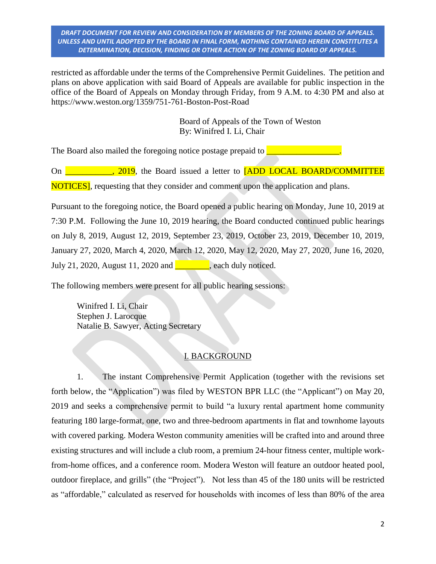restricted as affordable under the terms of the Comprehensive Permit Guidelines. The petition and plans on above application with said Board of Appeals are available for public inspection in the office of the Board of Appeals on Monday through Friday, from 9 A.M. to 4:30 PM and also at https://www.weston.org/1359/751-761-Boston-Post-Road

> Board of Appeals of the Town of Weston By: Winifred I. Li, Chair

The Board also mailed the foregoing notice postage prepaid to  $\Box$ 

On **the Conduct of the Solution** of the Board issued a letter to **[ADD LOCAL BOARD/COMMITTEE** NOTICES], requesting that they consider and comment upon the application and plans.

Pursuant to the foregoing notice, the Board opened a public hearing on Monday, June 10, 2019 at 7:30 P.M. Following the June 10, 2019 hearing, the Board conducted continued public hearings on July 8, 2019, August 12, 2019, September 23, 2019, October 23, 2019, December 10, 2019, January 27, 2020, March 4, 2020, March 12, 2020, May 12, 2020, May 27, 2020, June 16, 2020, July 21, 2020, August 11, 2020 and \_\_\_\_\_\_\_\_, each duly noticed.

The following members were present for all public hearing sessions:

Winifred I. Li, Chair Stephen J. Larocque Natalie B. Sawyer, Acting Secretary

#### I. BACKGROUND

1. The instant Comprehensive Permit Application (together with the revisions set forth below, the "Application") was filed by WESTON BPR LLC (the "Applicant") on May 20, 2019 and seeks a comprehensive permit to build "a luxury rental apartment home community featuring 180 large-format, one, two and three-bedroom apartments in flat and townhome layouts with covered parking. Modera Weston community amenities will be crafted into and around three existing structures and will include a club room, a premium 24-hour fitness center, multiple workfrom-home offices, and a conference room. Modera Weston will feature an outdoor heated pool, outdoor fireplace, and grills" (the "Project"). Not less than 45 of the 180 units will be restricted as "affordable," calculated as reserved for households with incomes of less than 80% of the area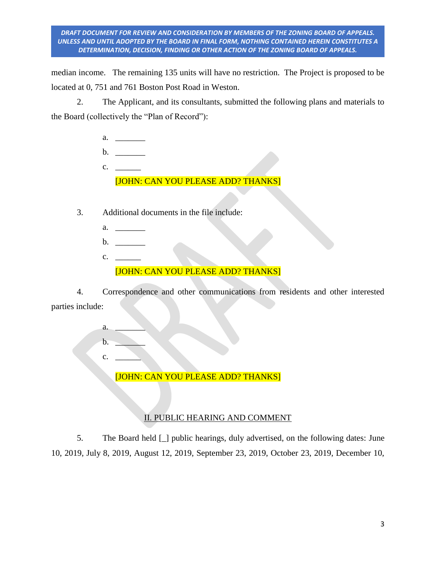median income. The remaining 135 units will have no restriction. The Project is proposed to be located at 0, 751 and 761 Boston Post Road in Weston.

2. The Applicant, and its consultants, submitted the following plans and materials to the Board (collectively the "Plan of Record"):

- a. \_\_\_\_\_\_\_
- b. \_\_\_\_\_\_\_
- c. [JOHN: CAN YOU PLEASE ADD? THANKS]
- 3. Additional documents in the file include:
	- a. \_\_\_\_\_\_\_
	- b. \_\_\_\_\_\_\_
	- c. \_\_\_\_\_\_ [JOHN: CAN YOU PLEASE ADD? THANKS]

4. Correspondence and other communications from residents and other interested parties include:

> $a$ .  $\mathbf b$ . c. \_\_\_\_\_\_ [JOHN: CAN YOU PLEASE ADD? THANKS]

# II. PUBLIC HEARING AND COMMENT

5. The Board held [\_] public hearings, duly advertised, on the following dates: June 10, 2019, July 8, 2019, August 12, 2019, September 23, 2019, October 23, 2019, December 10,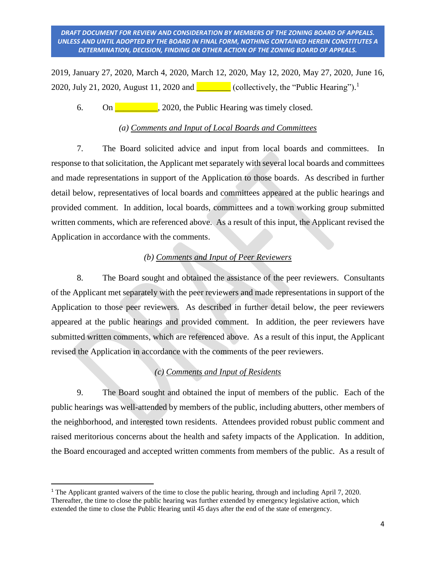2019, January 27, 2020, March 4, 2020, March 12, 2020, May 12, 2020, May 27, 2020, June 16, 2020, July 21, 2020, August 11, 2020 and  $\boxed{\phantom{2\mu\mu\mu}}$  (collectively, the "Public Hearing").<sup>1</sup>

6. On  $\Box$ , 2020, the Public Hearing was timely closed.

## *(a) Comments and Input of Local Boards and Committees*

7. The Board solicited advice and input from local boards and committees. In response to that solicitation, the Applicant met separately with several local boards and committees and made representations in support of the Application to those boards. As described in further detail below, representatives of local boards and committees appeared at the public hearings and provided comment. In addition, local boards, committees and a town working group submitted written comments, which are referenced above. As a result of this input, the Applicant revised the Application in accordance with the comments.

## *(b) Comments and Input of Peer Reviewers*

8. The Board sought and obtained the assistance of the peer reviewers. Consultants of the Applicant met separately with the peer reviewers and made representations in support of the Application to those peer reviewers. As described in further detail below, the peer reviewers appeared at the public hearings and provided comment. In addition, the peer reviewers have submitted written comments, which are referenced above. As a result of this input, the Applicant revised the Application in accordance with the comments of the peer reviewers.

## *(c) Comments and Input of Residents*

9. The Board sought and obtained the input of members of the public. Each of the public hearings was well-attended by members of the public, including abutters, other members of the neighborhood, and interested town residents. Attendees provided robust public comment and raised meritorious concerns about the health and safety impacts of the Application. In addition, the Board encouraged and accepted written comments from members of the public. As a result of

 $\overline{\phantom{a}}$ 

<sup>&</sup>lt;sup>1</sup> The Applicant granted waivers of the time to close the public hearing, through and including April 7, 2020. Thereafter, the time to close the public hearing was further extended by emergency legislative action, which extended the time to close the Public Hearing until 45 days after the end of the state of emergency.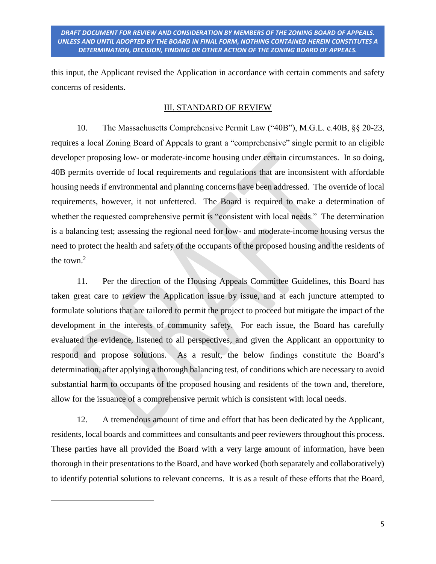this input, the Applicant revised the Application in accordance with certain comments and safety concerns of residents.

### III. STANDARD OF REVIEW

10. The Massachusetts Comprehensive Permit Law ("40B"), M.G.L. c.40B, §§ 20-23, requires a local Zoning Board of Appeals to grant a "comprehensive" single permit to an eligible developer proposing low- or moderate-income housing under certain circumstances. In so doing, 40B permits override of local requirements and regulations that are inconsistent with affordable housing needs if environmental and planning concerns have been addressed. The override of local requirements, however, it not unfettered. The Board is required to make a determination of whether the requested comprehensive permit is "consistent with local needs." The determination is a balancing test; assessing the regional need for low- and moderate-income housing versus the need to protect the health and safety of the occupants of the proposed housing and the residents of the town. $2$ 

11. Per the direction of the Housing Appeals Committee Guidelines, this Board has taken great care to review the Application issue by issue, and at each juncture attempted to formulate solutions that are tailored to permit the project to proceed but mitigate the impact of the development in the interests of community safety. For each issue, the Board has carefully evaluated the evidence, listened to all perspectives, and given the Applicant an opportunity to respond and propose solutions. As a result, the below findings constitute the Board's determination, after applying a thorough balancing test, of conditions which are necessary to avoid substantial harm to occupants of the proposed housing and residents of the town and, therefore, allow for the issuance of a comprehensive permit which is consistent with local needs.

12. A tremendous amount of time and effort that has been dedicated by the Applicant, residents, local boards and committees and consultants and peer reviewers throughout this process. These parties have all provided the Board with a very large amount of information, have been thorough in their presentations to the Board, and have worked (both separately and collaboratively) to identify potential solutions to relevant concerns. It is as a result of these efforts that the Board,

 $\overline{a}$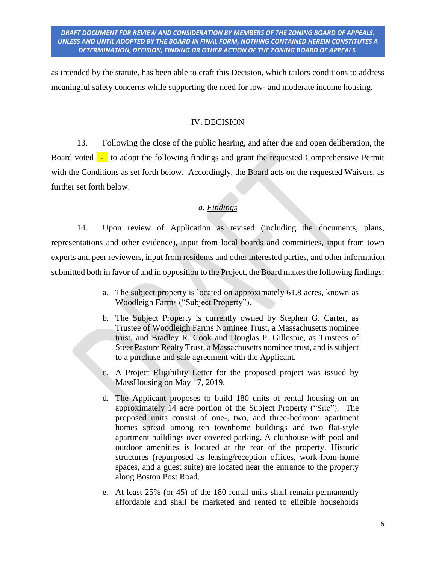as intended by the statute, has been able to craft this Decision, which tailors conditions to address meaningful safety concerns while supporting the need for low- and moderate income housing.

### IV. DECISION

13. Following the close of the public hearing, and after due and open deliberation, the Board voted - to adopt the following findings and grant the requested Comprehensive Permit with the Conditions as set forth below. Accordingly, the Board acts on the requested Waivers, as further set forth below.

### *a. Findings*

14. Upon review of Application as revised (including the documents, plans, representations and other evidence), input from local boards and committees, input from town experts and peer reviewers, input from residents and other interested parties, and other information submitted both in favor of and in opposition to the Project, the Board makes the following findings:

- a. The subject property is located on approximately 61.8 acres, known as Woodleigh Farms ("Subject Property").
- b. The Subject Property is currently owned by Stephen G. Carter, as Trustee of Woodleigh Farms Nominee Trust, a Massachusetts nominee trust, and Bradley R. Cook and Douglas P. Gillespie, as Trustees of Steer Pasture Realty Trust, a Massachusetts nominee trust, and is subject to a purchase and sale agreement with the Applicant.
- c. A Project Eligibility Letter for the proposed project was issued by MassHousing on May 17, 2019.
- d. The Applicant proposes to build 180 units of rental housing on an approximately 14 acre portion of the Subject Property ("Site"). The proposed units consist of one-, two, and three-bedroom apartment homes spread among ten townhome buildings and two flat-style apartment buildings over covered parking. A clubhouse with pool and outdoor amenities is located at the rear of the property. Historic structures (repurposed as leasing/reception offices, work-from-home spaces, and a guest suite) are located near the entrance to the property along Boston Post Road.
- e. At least 25% (or 45) of the 180 rental units shall remain permanently affordable and shall be marketed and rented to eligible households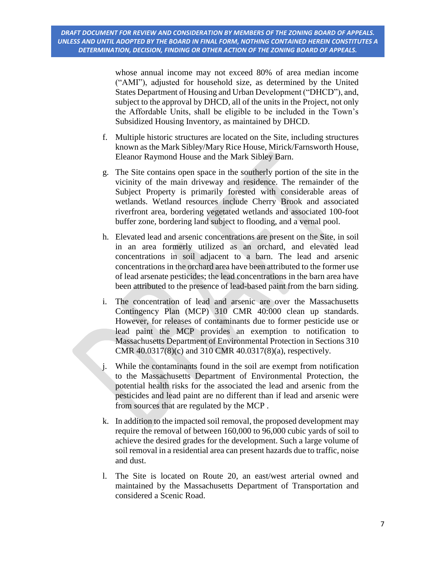whose annual income may not exceed 80% of area median income ("AMI"), adjusted for household size, as determined by the United States Department of Housing and Urban Development ("DHCD"), and, subject to the approval by DHCD, all of the units in the Project, not only the Affordable Units, shall be eligible to be included in the Town's Subsidized Housing Inventory, as maintained by DHCD.

- f. Multiple historic structures are located on the Site, including structures known as the Mark Sibley/Mary Rice House, Mirick/Farnsworth House, Eleanor Raymond House and the Mark Sibley Barn.
- g. The Site contains open space in the southerly portion of the site in the vicinity of the main driveway and residence. The remainder of the Subject Property is primarily forested with considerable areas of wetlands. Wetland resources include Cherry Brook and associated riverfront area, bordering vegetated wetlands and associated 100-foot buffer zone, bordering land subject to flooding, and a vernal pool.
- h. Elevated lead and arsenic concentrations are present on the Site, in soil in an area formerly utilized as an orchard, and elevated lead concentrations in soil adjacent to a barn. The lead and arsenic concentrations in the orchard area have been attributed to the former use of lead arsenate pesticides; the lead concentrations in the barn area have been attributed to the presence of lead-based paint from the barn siding.
- i. The concentration of lead and arsenic are over the Massachusetts Contingency Plan (MCP) 310 CMR 40:000 clean up standards. However, for releases of contaminants due to former pesticide use or lead paint the MCP provides an exemption to notification to Massachusetts Department of Environmental Protection in Sections 310 CMR 40.0317(8)(c) and 310 CMR 40.0317(8)(a), respectively.
- j. While the contaminants found in the soil are exempt from notification to the Massachusetts Department of Environmental Protection, the potential health risks for the associated the lead and arsenic from the pesticides and lead paint are no different than if lead and arsenic were from sources that are regulated by the MCP .
- k. In addition to the impacted soil removal, the proposed development may require the removal of between 160,000 to 96,000 cubic yards of soil to achieve the desired grades for the development. Such a large volume of soil removal in a residential area can present hazards due to traffic, noise and dust.
- l. The Site is located on Route 20, an east/west arterial owned and maintained by the Massachusetts Department of Transportation and considered a Scenic Road.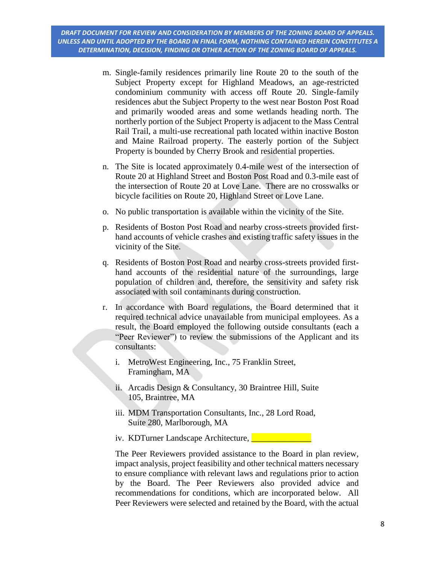- m. Single-family residences primarily line Route 20 to the south of the Subject Property except for Highland Meadows, an age-restricted condominium community with access off Route 20. Single-family residences abut the Subject Property to the west near Boston Post Road and primarily wooded areas and some wetlands heading north. The northerly portion of the Subject Property is adjacent to the Mass Central Rail Trail, a multi-use recreational path located within inactive Boston and Maine Railroad property. The easterly portion of the Subject Property is bounded by Cherry Brook and residential properties.
- n. The Site is located approximately 0.4-mile west of the intersection of Route 20 at Highland Street and Boston Post Road and 0.3-mile east of the intersection of Route 20 at Love Lane. There are no crosswalks or bicycle facilities on Route 20, Highland Street or Love Lane.
- o. No public transportation is available within the vicinity of the Site.
- p. Residents of Boston Post Road and nearby cross-streets provided firsthand accounts of vehicle crashes and existing traffic safety issues in the vicinity of the Site.
- q. Residents of Boston Post Road and nearby cross-streets provided firsthand accounts of the residential nature of the surroundings, large population of children and, therefore, the sensitivity and safety risk associated with soil contaminants during construction.
- r. In accordance with Board regulations, the Board determined that it required technical advice unavailable from municipal employees. As a result, the Board employed the following outside consultants (each a "Peer Reviewer") to review the submissions of the Applicant and its consultants:
	- i. MetroWest Engineering, Inc., 75 Franklin Street, Framingham, MA
	- ii. Arcadis Design & Consultancy, 30 Braintree Hill, Suite 105, Braintree, MA
	- iii. MDM Transportation Consultants, Inc., 28 Lord Road, Suite 280, Marlborough, MA
	- iv. KDTurner Landscape Architecture, **QUE ALC 2014**

The Peer Reviewers provided assistance to the Board in plan review, impact analysis, project feasibility and other technical matters necessary to ensure compliance with relevant laws and regulations prior to action by the Board. The Peer Reviewers also provided advice and recommendations for conditions, which are incorporated below. All Peer Reviewers were selected and retained by the Board, with the actual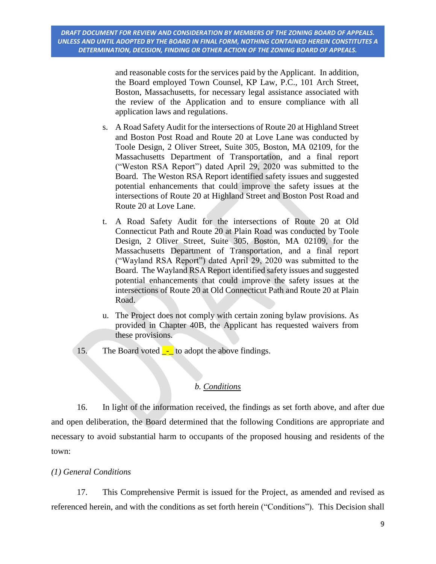and reasonable costs for the services paid by the Applicant. In addition, the Board employed Town Counsel, KP Law, P.C., 101 Arch Street, Boston, Massachusetts, for necessary legal assistance associated with the review of the Application and to ensure compliance with all application laws and regulations.

- s. A Road Safety Audit for the intersections of Route 20 at Highland Street and Boston Post Road and Route 20 at Love Lane was conducted by Toole Design, 2 Oliver Street, Suite 305, Boston, MA 02109, for the Massachusetts Department of Transportation, and a final report ("Weston RSA Report") dated April 29, 2020 was submitted to the Board. The Weston RSA Report identified safety issues and suggested potential enhancements that could improve the safety issues at the intersections of Route 20 at Highland Street and Boston Post Road and Route 20 at Love Lane.
- t. A Road Safety Audit for the intersections of Route 20 at Old Connecticut Path and Route 20 at Plain Road was conducted by Toole Design, 2 Oliver Street, Suite 305, Boston, MA 02109, for the Massachusetts Department of Transportation, and a final report ("Wayland RSA Report") dated April 29, 2020 was submitted to the Board. The Wayland RSA Report identified safety issues and suggested potential enhancements that could improve the safety issues at the intersections of Route 20 at Old Connecticut Path and Route 20 at Plain Road.
- u. The Project does not comply with certain zoning bylaw provisions. As provided in Chapter 40B, the Applicant has requested waivers from these provisions.
- 15. The Board voted  $\frac{1}{2}$  to adopt the above findings.

## *b. Conditions*

16. In light of the information received, the findings as set forth above, and after due and open deliberation, the Board determined that the following Conditions are appropriate and necessary to avoid substantial harm to occupants of the proposed housing and residents of the town:

## *(1) General Conditions*

17. This Comprehensive Permit is issued for the Project, as amended and revised as referenced herein, and with the conditions as set forth herein ("Conditions"). This Decision shall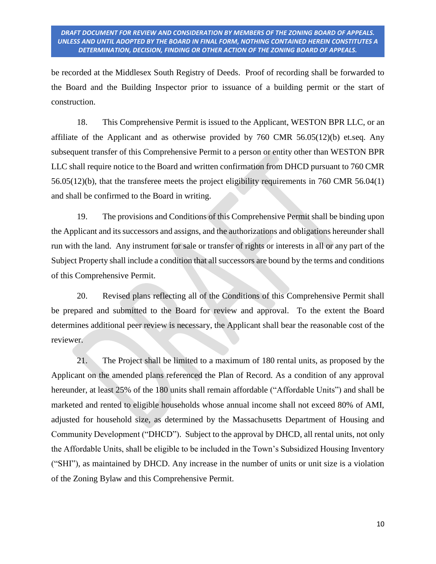be recorded at the Middlesex South Registry of Deeds. Proof of recording shall be forwarded to the Board and the Building Inspector prior to issuance of a building permit or the start of construction.

18. This Comprehensive Permit is issued to the Applicant, WESTON BPR LLC, or an affiliate of the Applicant and as otherwise provided by 760 CMR  $56.05(12)(b)$  et.seq. Any subsequent transfer of this Comprehensive Permit to a person or entity other than WESTON BPR LLC shall require notice to the Board and written confirmation from DHCD pursuant to 760 CMR 56.05(12)(b), that the transferee meets the project eligibility requirements in 760 CMR 56.04(1) and shall be confirmed to the Board in writing.

19. The provisions and Conditions of this Comprehensive Permit shall be binding upon the Applicant and its successors and assigns, and the authorizations and obligations hereunder shall run with the land. Any instrument for sale or transfer of rights or interests in all or any part of the Subject Property shall include a condition that all successors are bound by the terms and conditions of this Comprehensive Permit.

20. Revised plans reflecting all of the Conditions of this Comprehensive Permit shall be prepared and submitted to the Board for review and approval. To the extent the Board determines additional peer review is necessary, the Applicant shall bear the reasonable cost of the reviewer.

21. The Project shall be limited to a maximum of 180 rental units, as proposed by the Applicant on the amended plans referenced the Plan of Record. As a condition of any approval hereunder, at least 25% of the 180 units shall remain affordable ("Affordable Units") and shall be marketed and rented to eligible households whose annual income shall not exceed 80% of AMI, adjusted for household size, as determined by the Massachusetts Department of Housing and Community Development ("DHCD"). Subject to the approval by DHCD, all rental units, not only the Affordable Units, shall be eligible to be included in the Town's Subsidized Housing Inventory ("SHI"), as maintained by DHCD. Any increase in the number of units or unit size is a violation of the Zoning Bylaw and this Comprehensive Permit.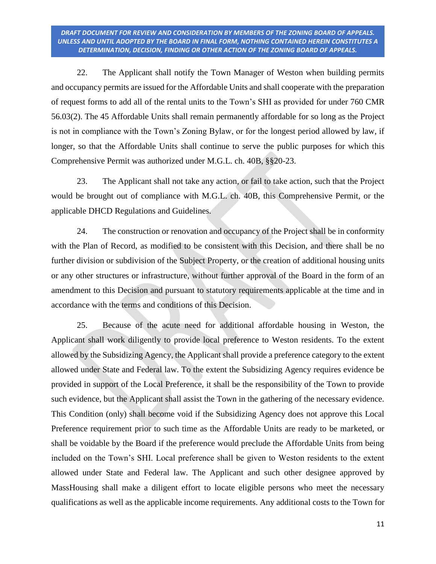22. The Applicant shall notify the Town Manager of Weston when building permits and occupancy permits are issued for the Affordable Units and shall cooperate with the preparation of request forms to add all of the rental units to the Town's SHI as provided for under 760 CMR 56.03(2). The 45 Affordable Units shall remain permanently affordable for so long as the Project is not in compliance with the Town's Zoning Bylaw, or for the longest period allowed by law, if longer, so that the Affordable Units shall continue to serve the public purposes for which this Comprehensive Permit was authorized under M.G.L. ch. 40B, §§20-23.

23. The Applicant shall not take any action, or fail to take action, such that the Project would be brought out of compliance with M.G.L. ch. 40B, this Comprehensive Permit, or the applicable DHCD Regulations and Guidelines.

24. The construction or renovation and occupancy of the Project shall be in conformity with the Plan of Record, as modified to be consistent with this Decision, and there shall be no further division or subdivision of the Subject Property, or the creation of additional housing units or any other structures or infrastructure, without further approval of the Board in the form of an amendment to this Decision and pursuant to statutory requirements applicable at the time and in accordance with the terms and conditions of this Decision.

25. Because of the acute need for additional affordable housing in Weston, the Applicant shall work diligently to provide local preference to Weston residents. To the extent allowed by the Subsidizing Agency, the Applicant shall provide a preference category to the extent allowed under State and Federal law. To the extent the Subsidizing Agency requires evidence be provided in support of the Local Preference, it shall be the responsibility of the Town to provide such evidence, but the Applicant shall assist the Town in the gathering of the necessary evidence. This Condition (only) shall become void if the Subsidizing Agency does not approve this Local Preference requirement prior to such time as the Affordable Units are ready to be marketed, or shall be voidable by the Board if the preference would preclude the Affordable Units from being included on the Town's SHI. Local preference shall be given to Weston residents to the extent allowed under State and Federal law. The Applicant and such other designee approved by MassHousing shall make a diligent effort to locate eligible persons who meet the necessary qualifications as well as the applicable income requirements. Any additional costs to the Town for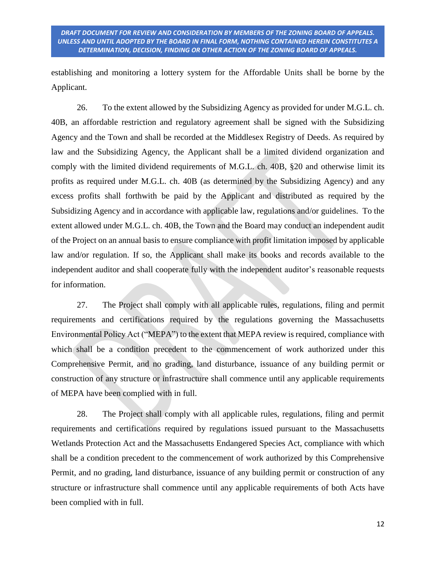establishing and monitoring a lottery system for the Affordable Units shall be borne by the Applicant.

26. To the extent allowed by the Subsidizing Agency as provided for under M.G.L. ch. 40B, an affordable restriction and regulatory agreement shall be signed with the Subsidizing Agency and the Town and shall be recorded at the Middlesex Registry of Deeds. As required by law and the Subsidizing Agency, the Applicant shall be a limited dividend organization and comply with the limited dividend requirements of M.G.L. ch. 40B, §20 and otherwise limit its profits as required under M.G.L. ch. 40B (as determined by the Subsidizing Agency) and any excess profits shall forthwith be paid by the Applicant and distributed as required by the Subsidizing Agency and in accordance with applicable law, regulations and/or guidelines. To the extent allowed under M.G.L. ch. 40B, the Town and the Board may conduct an independent audit of the Project on an annual basis to ensure compliance with profit limitation imposed by applicable law and/or regulation. If so, the Applicant shall make its books and records available to the independent auditor and shall cooperate fully with the independent auditor's reasonable requests for information.

27. The Project shall comply with all applicable rules, regulations, filing and permit requirements and certifications required by the regulations governing the Massachusetts Environmental Policy Act ("MEPA") to the extent that MEPA review is required, compliance with which shall be a condition precedent to the commencement of work authorized under this Comprehensive Permit, and no grading, land disturbance, issuance of any building permit or construction of any structure or infrastructure shall commence until any applicable requirements of MEPA have been complied with in full.

28. The Project shall comply with all applicable rules, regulations, filing and permit requirements and certifications required by regulations issued pursuant to the Massachusetts Wetlands Protection Act and the Massachusetts Endangered Species Act, compliance with which shall be a condition precedent to the commencement of work authorized by this Comprehensive Permit, and no grading, land disturbance, issuance of any building permit or construction of any structure or infrastructure shall commence until any applicable requirements of both Acts have been complied with in full.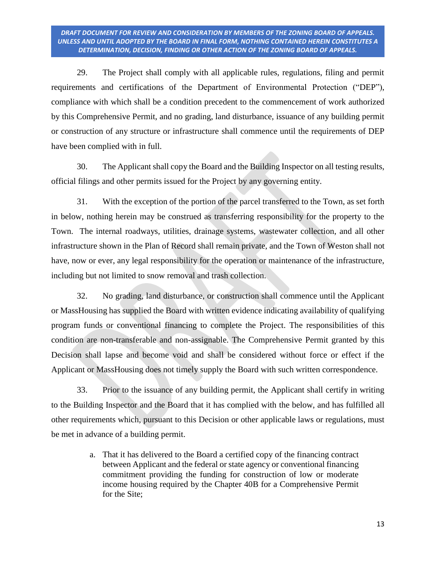29. The Project shall comply with all applicable rules, regulations, filing and permit requirements and certifications of the Department of Environmental Protection ("DEP"), compliance with which shall be a condition precedent to the commencement of work authorized by this Comprehensive Permit, and no grading, land disturbance, issuance of any building permit or construction of any structure or infrastructure shall commence until the requirements of DEP have been complied with in full.

30. The Applicant shall copy the Board and the Building Inspector on all testing results, official filings and other permits issued for the Project by any governing entity.

31. With the exception of the portion of the parcel transferred to the Town, as set forth in below, nothing herein may be construed as transferring responsibility for the property to the Town. The internal roadways, utilities, drainage systems, wastewater collection, and all other infrastructure shown in the Plan of Record shall remain private, and the Town of Weston shall not have, now or ever, any legal responsibility for the operation or maintenance of the infrastructure, including but not limited to snow removal and trash collection.

32. No grading, land disturbance, or construction shall commence until the Applicant or MassHousing has supplied the Board with written evidence indicating availability of qualifying program funds or conventional financing to complete the Project. The responsibilities of this condition are non-transferable and non-assignable. The Comprehensive Permit granted by this Decision shall lapse and become void and shall be considered without force or effect if the Applicant or MassHousing does not timely supply the Board with such written correspondence.

33. Prior to the issuance of any building permit, the Applicant shall certify in writing to the Building Inspector and the Board that it has complied with the below, and has fulfilled all other requirements which, pursuant to this Decision or other applicable laws or regulations, must be met in advance of a building permit.

> a. That it has delivered to the Board a certified copy of the financing contract between Applicant and the federal or state agency or conventional financing commitment providing the funding for construction of low or moderate income housing required by the Chapter 40B for a Comprehensive Permit for the Site;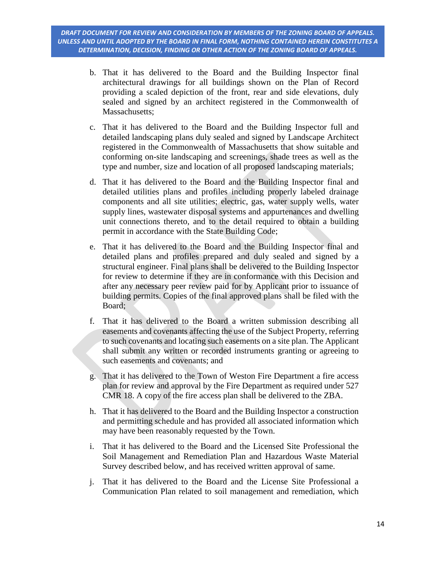- b. That it has delivered to the Board and the Building Inspector final architectural drawings for all buildings shown on the Plan of Record providing a scaled depiction of the front, rear and side elevations, duly sealed and signed by an architect registered in the Commonwealth of Massachusetts;
- c. That it has delivered to the Board and the Building Inspector full and detailed landscaping plans duly sealed and signed by Landscape Architect registered in the Commonwealth of Massachusetts that show suitable and conforming on-site landscaping and screenings, shade trees as well as the type and number, size and location of all proposed landscaping materials;
- d. That it has delivered to the Board and the Building Inspector final and detailed utilities plans and profiles including properly labeled drainage components and all site utilities; electric, gas, water supply wells, water supply lines, wastewater disposal systems and appurtenances and dwelling unit connections thereto, and to the detail required to obtain a building permit in accordance with the State Building Code;
- e. That it has delivered to the Board and the Building Inspector final and detailed plans and profiles prepared and duly sealed and signed by a structural engineer. Final plans shall be delivered to the Building Inspector for review to determine if they are in conformance with this Decision and after any necessary peer review paid for by Applicant prior to issuance of building permits. Copies of the final approved plans shall be filed with the Board;
- f. That it has delivered to the Board a written submission describing all easements and covenants affecting the use of the Subject Property, referring to such covenants and locating such easements on a site plan. The Applicant shall submit any written or recorded instruments granting or agreeing to such easements and covenants; and
- g. That it has delivered to the Town of Weston Fire Department a fire access plan for review and approval by the Fire Department as required under 527 CMR 18. A copy of the fire access plan shall be delivered to the ZBA.
- h. That it has delivered to the Board and the Building Inspector a construction and permitting schedule and has provided all associated information which may have been reasonably requested by the Town.
- i. That it has delivered to the Board and the Licensed Site Professional the Soil Management and Remediation Plan and Hazardous Waste Material Survey described below, and has received written approval of same.
- j. That it has delivered to the Board and the License Site Professional a Communication Plan related to soil management and remediation, which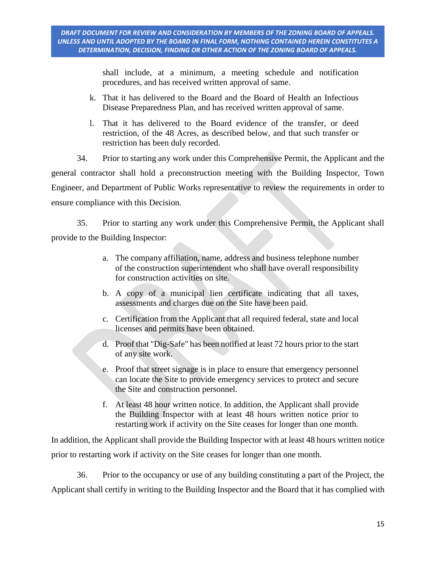shall include, at a minimum, a meeting schedule and notification procedures, and has received written approval of same.

- k. That it has delivered to the Board and the Board of Health an Infectious Disease Preparedness Plan, and has received written approval of same.
- l. That it has delivered to the Board evidence of the transfer, or deed restriction, of the 48 Acres, as described below, and that such transfer or restriction has been duly recorded.

34. Prior to starting any work under this Comprehensive Permit, the Applicant and the general contractor shall hold a preconstruction meeting with the Building Inspector, Town Engineer, and Department of Public Works representative to review the requirements in order to ensure compliance with this Decision.

35. Prior to starting any work under this Comprehensive Permit, the Applicant shall provide to the Building Inspector:

- a. The company affiliation, name, address and business telephone number of the construction superintendent who shall have overall responsibility for construction activities on site.
- b. A copy of a municipal lien certificate indicating that all taxes, assessments and charges due on the Site have been paid.
- c. Certification from the Applicant that all required federal, state and local licenses and permits have been obtained.
- d. Proof that "Dig-Safe" has been notified at least 72 hours prior to the start of any site work.
- e. Proof that street signage is in place to ensure that emergency personnel can locate the Site to provide emergency services to protect and secure the Site and construction personnel.
- f. At least 48 hour written notice. In addition, the Applicant shall provide the Building Inspector with at least 48 hours written notice prior to restarting work if activity on the Site ceases for longer than one month.

In addition, the Applicant shall provide the Building Inspector with at least 48 hours written notice prior to restarting work if activity on the Site ceases for longer than one month.

36. Prior to the occupancy or use of any building constituting a part of the Project, the Applicant shall certify in writing to the Building Inspector and the Board that it has complied with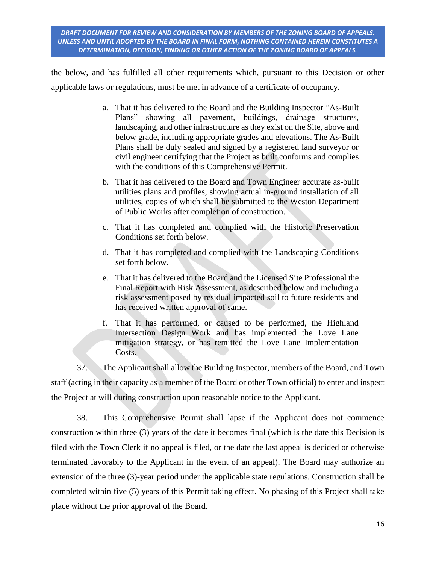the below, and has fulfilled all other requirements which, pursuant to this Decision or other applicable laws or regulations, must be met in advance of a certificate of occupancy.

- a. That it has delivered to the Board and the Building Inspector "As-Built Plans" showing all pavement, buildings, drainage structures, landscaping, and other infrastructure as they exist on the Site, above and below grade, including appropriate grades and elevations. The As-Built Plans shall be duly sealed and signed by a registered land surveyor or civil engineer certifying that the Project as built conforms and complies with the conditions of this Comprehensive Permit.
- b. That it has delivered to the Board and Town Engineer accurate as-built utilities plans and profiles, showing actual in-ground installation of all utilities, copies of which shall be submitted to the Weston Department of Public Works after completion of construction.
- c. That it has completed and complied with the Historic Preservation Conditions set forth below.
- d. That it has completed and complied with the Landscaping Conditions set forth below.
- e. That it has delivered to the Board and the Licensed Site Professional the Final Report with Risk Assessment, as described below and including a risk assessment posed by residual impacted soil to future residents and has received written approval of same.
- f. That it has performed, or caused to be performed, the Highland Intersection Design Work and has implemented the Love Lane mitigation strategy, or has remitted the Love Lane Implementation Costs.

37. The Applicant shall allow the Building Inspector, members of the Board, and Town staff (acting in their capacity as a member of the Board or other Town official) to enter and inspect the Project at will during construction upon reasonable notice to the Applicant.

38. This Comprehensive Permit shall lapse if the Applicant does not commence construction within three (3) years of the date it becomes final (which is the date this Decision is filed with the Town Clerk if no appeal is filed, or the date the last appeal is decided or otherwise terminated favorably to the Applicant in the event of an appeal). The Board may authorize an extension of the three (3)-year period under the applicable state regulations. Construction shall be completed within five (5) years of this Permit taking effect. No phasing of this Project shall take place without the prior approval of the Board.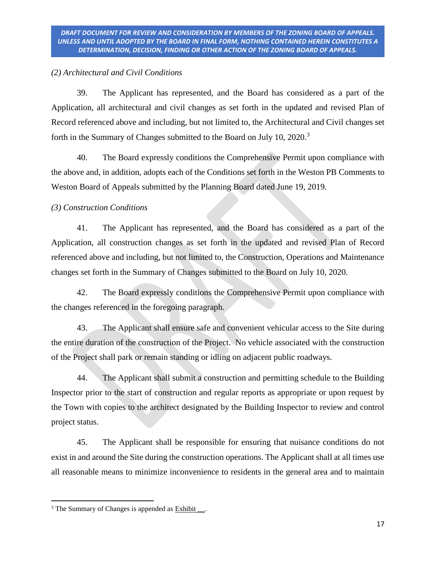## *(2) Architectural and Civil Conditions*

39. The Applicant has represented, and the Board has considered as a part of the Application, all architectural and civil changes as set forth in the updated and revised Plan of Record referenced above and including, but not limited to, the Architectural and Civil changes set forth in the Summary of Changes submitted to the Board on July 10, 2020.<sup>3</sup>

40. The Board expressly conditions the Comprehensive Permit upon compliance with the above and, in addition, adopts each of the Conditions set forth in the Weston PB Comments to Weston Board of Appeals submitted by the Planning Board dated June 19, 2019.

# *(3) Construction Conditions*

41. The Applicant has represented, and the Board has considered as a part of the Application, all construction changes as set forth in the updated and revised Plan of Record referenced above and including, but not limited to, the Construction, Operations and Maintenance changes set forth in the Summary of Changes submitted to the Board on July 10, 2020.

42. The Board expressly conditions the Comprehensive Permit upon compliance with the changes referenced in the foregoing paragraph.

43. The Applicant shall ensure safe and convenient vehicular access to the Site during the entire duration of the construction of the Project. No vehicle associated with the construction of the Project shall park or remain standing or idling on adjacent public roadways.

44. The Applicant shall submit a construction and permitting schedule to the Building Inspector prior to the start of construction and regular reports as appropriate or upon request by the Town with copies to the architect designated by the Building Inspector to review and control project status.

45. The Applicant shall be responsible for ensuring that nuisance conditions do not exist in and around the Site during the construction operations. The Applicant shall at all times use all reasonable means to minimize inconvenience to residents in the general area and to maintain

 $\overline{\phantom{a}}$  $3$  The Summary of Changes is appended as  $Exhibit$ .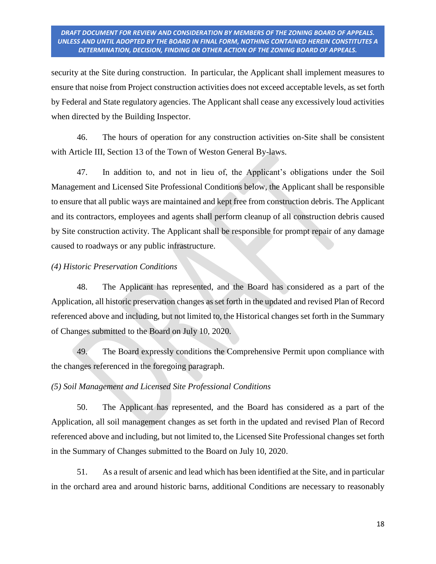security at the Site during construction. In particular, the Applicant shall implement measures to ensure that noise from Project construction activities does not exceed acceptable levels, as set forth by Federal and State regulatory agencies. The Applicant shall cease any excessively loud activities when directed by the Building Inspector.

46. The hours of operation for any construction activities on-Site shall be consistent with Article III, Section 13 of the Town of Weston General By-laws.

47. In addition to, and not in lieu of, the Applicant's obligations under the Soil Management and Licensed Site Professional Conditions below, the Applicant shall be responsible to ensure that all public ways are maintained and kept free from construction debris. The Applicant and its contractors, employees and agents shall perform cleanup of all construction debris caused by Site construction activity. The Applicant shall be responsible for prompt repair of any damage caused to roadways or any public infrastructure.

### *(4) Historic Preservation Conditions*

48. The Applicant has represented, and the Board has considered as a part of the Application, all historic preservation changes as set forth in the updated and revised Plan of Record referenced above and including, but not limited to, the Historical changes set forth in the Summary of Changes submitted to the Board on July 10, 2020.

49. The Board expressly conditions the Comprehensive Permit upon compliance with the changes referenced in the foregoing paragraph.

## *(5) Soil Management and Licensed Site Professional Conditions*

50. The Applicant has represented, and the Board has considered as a part of the Application, all soil management changes as set forth in the updated and revised Plan of Record referenced above and including, but not limited to, the Licensed Site Professional changes set forth in the Summary of Changes submitted to the Board on July 10, 2020.

51. As a result of arsenic and lead which has been identified at the Site, and in particular in the orchard area and around historic barns, additional Conditions are necessary to reasonably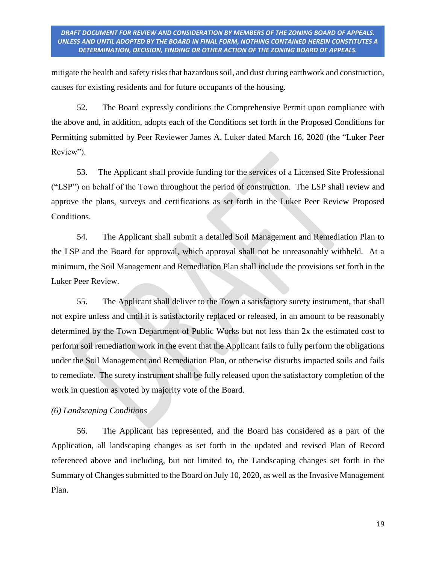mitigate the health and safety risks that hazardous soil, and dust during earthwork and construction, causes for existing residents and for future occupants of the housing.

52. The Board expressly conditions the Comprehensive Permit upon compliance with the above and, in addition, adopts each of the Conditions set forth in the Proposed Conditions for Permitting submitted by Peer Reviewer James A. Luker dated March 16, 2020 (the "Luker Peer Review").

53. The Applicant shall provide funding for the services of a Licensed Site Professional ("LSP") on behalf of the Town throughout the period of construction. The LSP shall review and approve the plans, surveys and certifications as set forth in the Luker Peer Review Proposed Conditions.

54. The Applicant shall submit a detailed Soil Management and Remediation Plan to the LSP and the Board for approval, which approval shall not be unreasonably withheld. At a minimum, the Soil Management and Remediation Plan shall include the provisions set forth in the Luker Peer Review.

55. The Applicant shall deliver to the Town a satisfactory surety instrument, that shall not expire unless and until it is satisfactorily replaced or released, in an amount to be reasonably determined by the Town Department of Public Works but not less than 2x the estimated cost to perform soil remediation work in the event that the Applicant fails to fully perform the obligations under the Soil Management and Remediation Plan, or otherwise disturbs impacted soils and fails to remediate. The surety instrument shall be fully released upon the satisfactory completion of the work in question as voted by majority vote of the Board.

## *(6) Landscaping Conditions*

56. The Applicant has represented, and the Board has considered as a part of the Application, all landscaping changes as set forth in the updated and revised Plan of Record referenced above and including, but not limited to, the Landscaping changes set forth in the Summary of Changes submitted to the Board on July 10, 2020, as well as the Invasive Management Plan.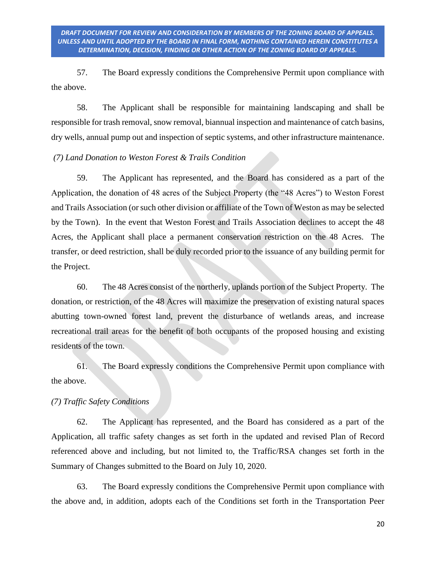57. The Board expressly conditions the Comprehensive Permit upon compliance with the above.

58. The Applicant shall be responsible for maintaining landscaping and shall be responsible for trash removal, snow removal, biannual inspection and maintenance of catch basins, dry wells, annual pump out and inspection of septic systems, and other infrastructure maintenance.

### *(7) Land Donation to Weston Forest & Trails Condition*

59. The Applicant has represented, and the Board has considered as a part of the Application, the donation of 48 acres of the Subject Property (the "48 Acres") to Weston Forest and Trails Association (or such other division or affiliate of the Town of Weston as may be selected by the Town). In the event that Weston Forest and Trails Association declines to accept the 48 Acres, the Applicant shall place a permanent conservation restriction on the 48 Acres. The transfer, or deed restriction, shall be duly recorded prior to the issuance of any building permit for the Project.

60. The 48 Acres consist of the northerly, uplands portion of the Subject Property. The donation, or restriction, of the 48 Acres will maximize the preservation of existing natural spaces abutting town-owned forest land, prevent the disturbance of wetlands areas, and increase recreational trail areas for the benefit of both occupants of the proposed housing and existing residents of the town.

61. The Board expressly conditions the Comprehensive Permit upon compliance with the above.

#### *(7) Traffic Safety Conditions*

62. The Applicant has represented, and the Board has considered as a part of the Application, all traffic safety changes as set forth in the updated and revised Plan of Record referenced above and including, but not limited to, the Traffic/RSA changes set forth in the Summary of Changes submitted to the Board on July 10, 2020.

63. The Board expressly conditions the Comprehensive Permit upon compliance with the above and, in addition, adopts each of the Conditions set forth in the Transportation Peer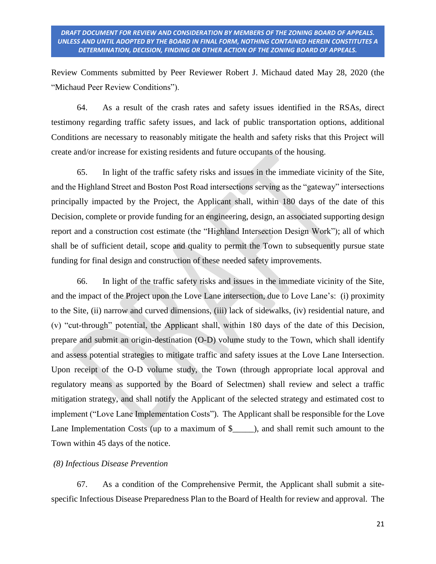Review Comments submitted by Peer Reviewer Robert J. Michaud dated May 28, 2020 (the "Michaud Peer Review Conditions").

64. As a result of the crash rates and safety issues identified in the RSAs, direct testimony regarding traffic safety issues, and lack of public transportation options, additional Conditions are necessary to reasonably mitigate the health and safety risks that this Project will create and/or increase for existing residents and future occupants of the housing.

65. In light of the traffic safety risks and issues in the immediate vicinity of the Site, and the Highland Street and Boston Post Road intersections serving as the "gateway" intersections principally impacted by the Project, the Applicant shall, within 180 days of the date of this Decision, complete or provide funding for an engineering, design, an associated supporting design report and a construction cost estimate (the "Highland Intersection Design Work"); all of which shall be of sufficient detail, scope and quality to permit the Town to subsequently pursue state funding for final design and construction of these needed safety improvements.

66. In light of the traffic safety risks and issues in the immediate vicinity of the Site, and the impact of the Project upon the Love Lane intersection, due to Love Lane's: (i) proximity to the Site, (ii) narrow and curved dimensions, (iii) lack of sidewalks, (iv) residential nature, and (v) "cut-through" potential, the Applicant shall, within 180 days of the date of this Decision, prepare and submit an origin-destination (O-D) volume study to the Town, which shall identify and assess potential strategies to mitigate traffic and safety issues at the Love Lane Intersection. Upon receipt of the O-D volume study, the Town (through appropriate local approval and regulatory means as supported by the Board of Selectmen) shall review and select a traffic mitigation strategy, and shall notify the Applicant of the selected strategy and estimated cost to implement ("Love Lane Implementation Costs"). The Applicant shall be responsible for the Love Lane Implementation Costs (up to a maximum of \$\_\_\_\_\_), and shall remit such amount to the Town within 45 days of the notice.

### *(8) Infectious Disease Prevention*

67. As a condition of the Comprehensive Permit, the Applicant shall submit a sitespecific Infectious Disease Preparedness Plan to the Board of Health for review and approval. The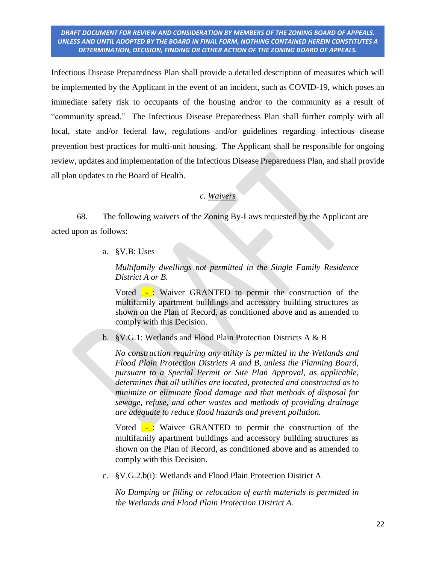Infectious Disease Preparedness Plan shall provide a detailed description of measures which will be implemented by the Applicant in the event of an incident, such as COVID-19, which poses an immediate safety risk to occupants of the housing and/or to the community as a result of "community spread." The Infectious Disease Preparedness Plan shall further comply with all local, state and/or federal law, regulations and/or guidelines regarding infectious disease prevention best practices for multi-unit housing. The Applicant shall be responsible for ongoing review, updates and implementation of the Infectious Disease Preparedness Plan, and shall provide all plan updates to the Board of Health.

#### *c. Waivers*

68. The following waivers of the Zoning By-Laws requested by the Applicant are acted upon as follows:

a. §V.B: Uses

*Multifamily dwellings not permitted in the Single Family Residence District A or B.*

Voted  $\overline{\phantom{a}}$ : Waiver GRANTED to permit the construction of the multifamily apartment buildings and accessory building structures as shown on the Plan of Record, as conditioned above and as amended to comply with this Decision.

b. §V.G.1: Wetlands and Flood Plain Protection Districts A & B

*No construction requiring any utility is permitted in the Wetlands and Flood Plain Protection Districts A and B, unless the Planning Board, pursuant to a Special Permit or Site Plan Approval, as applicable, determines that all utilities are located, protected and constructed as to minimize or eliminate flood damage and that methods of disposal for sewage, refuse, and other wastes and methods of providing drainage are adequate to reduce flood hazards and prevent pollution.* 

Voted  $\overline{\phantom{a}}$ : Waiver GRANTED to permit the construction of the multifamily apartment buildings and accessory building structures as shown on the Plan of Record, as conditioned above and as amended to comply with this Decision.

c. §V.G.2.b(i): Wetlands and Flood Plain Protection District A

*No Dumping or filling or relocation of earth materials is permitted in the Wetlands and Flood Plain Protection District A.*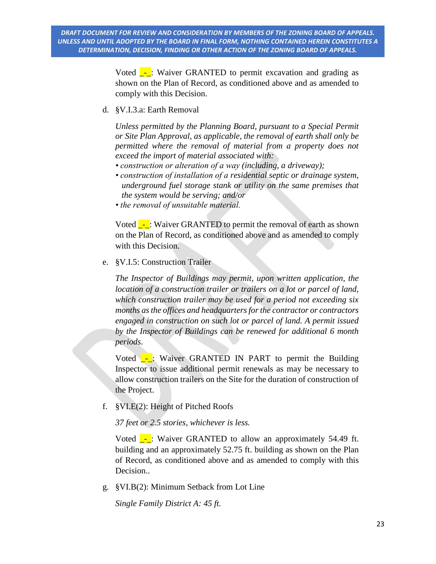> Voted  $\overline{\phantom{a}}$ : Waiver GRANTED to permit excavation and grading as shown on the Plan of Record, as conditioned above and as amended to comply with this Decision.

d. §V.I.3.a: Earth Removal

*Unless permitted by the Planning Board, pursuant to a Special Permit or Site Plan Approval, as applicable, the removal of earth shall only be permitted where the removal of material from a property does not exceed the import of material associated with:*

- *construction or alteration of a way (including, a driveway);*
- *construction of installation of a residential septic or drainage system, underground fuel storage stank or utility on the same premises that the system would be serving; and/or*
- *the removal of unsuitable material.*

Voted  $\overline{\phantom{a}}$ : Waiver GRANTED to permit the removal of earth as shown on the Plan of Record, as conditioned above and as amended to comply with this Decision.

e. §V.I.5: Construction Trailer

*The Inspector of Buildings may permit, upon written application, the location of a construction trailer or trailers on a lot or parcel of land, which construction trailer may be used for a period not exceeding six months as the offices and headquarters for the contractor or contractors engaged in construction on such lot or parcel of land. A permit issued by the Inspector of Buildings can be renewed for additional 6 month periods.*

Voted  $\overline{\phantom{a}}$ : Waiver GRANTED IN PART to permit the Building Inspector to issue additional permit renewals as may be necessary to allow construction trailers on the Site for the duration of construction of the Project.

f. §VI.E(2): Height of Pitched Roofs

*37 feet or 2.5 stories, whichever is less.*

Voted  $\overline{\phantom{a}}$ : Waiver GRANTED to allow an approximately 54.49 ft. building and an approximately 52.75 ft. building as shown on the Plan of Record, as conditioned above and as amended to comply with this Decision..

g. §VI.B(2): Minimum Setback from Lot Line

*Single Family District A: 45 ft.*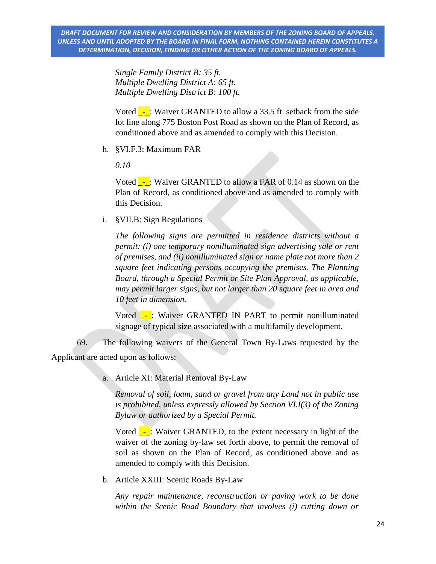*Single Family District B: 35 ft. Multiple Dwelling District A: 65 ft. Multiple Dwelling District B: 100 ft.*

Voted  $\overline{\phantom{a}}$ : Waiver GRANTED to allow a 33.5 ft. setback from the side lot line along 775 Boston Post Road as shown on the Plan of Record, as conditioned above and as amended to comply with this Decision.

h. §VI.F.3: Maximum FAR

*0.10*

Voted  $\overline{\phantom{a}}$ : Waiver GRANTED to allow a FAR of 0.14 as shown on the Plan of Record, as conditioned above and as amended to comply with this Decision.

i. §VII.B: Sign Regulations

*The following signs are permitted in residence districts without a permit: (i) one temporary nonilluminated sign advertising sale or rent of premises, and (ii) nonilluminated sign or name plate not more than 2 square feet indicating persons occupying the premises. The Planning Board, through a Special Permit or Site Plan Approval, as applicable, may permit larger signs, but not larger than 20 square feet in area and 10 feet in dimension.*

Voted -: Waiver GRANTED IN PART to permit nonilluminated signage of typical size associated with a multifamily development.

69. The following waivers of the General Town By-Laws requested by the Applicant are acted upon as follows:

a. Article XI: Material Removal By-Law

*Removal of soil, loam, sand or gravel from any Land not in public use is prohibited, unless expressly allowed by Section VI.I(3) of the Zoning Bylaw or authorized by a Special Permit.*

Voted  $\overline{\phantom{a}}$ : Waiver GRANTED, to the extent necessary in light of the waiver of the zoning by-law set forth above, to permit the removal of soil as shown on the Plan of Record, as conditioned above and as amended to comply with this Decision.

b. Article XXIII: Scenic Roads By-Law

*Any repair maintenance, reconstruction or paving work to be done within the Scenic Road Boundary that involves (i) cutting down or*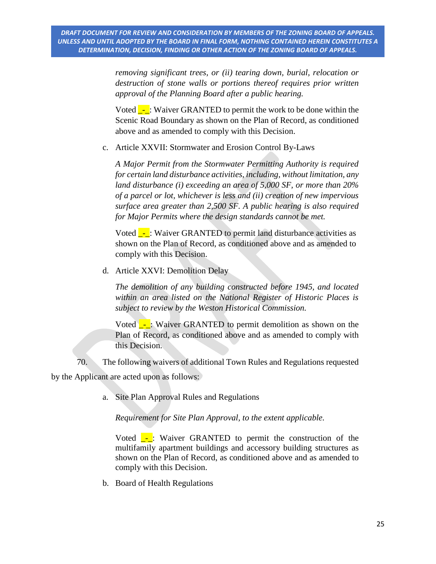*removing significant trees, or (ii) tearing down, burial, relocation or destruction of stone walls or portions thereof requires prior written approval of the Planning Board after a public hearing.*

Voted  $\overline{\phantom{a}}$ : Waiver GRANTED to permit the work to be done within the Scenic Road Boundary as shown on the Plan of Record, as conditioned above and as amended to comply with this Decision.

c. Article XXVII: Stormwater and Erosion Control By-Laws

*A Major Permit from the Stormwater Permitting Authority is required for certain land disturbance activities, including, without limitation, any land disturbance (i) exceeding an area of 5,000 SF, or more than 20% of a parcel or lot, whichever is less and (ii) creation of new impervious surface area greater than 2,500 SF. A public hearing is also required for Major Permits where the design standards cannot be met.*

Voted  $\frac{1}{\sqrt{2}}$ : Waiver GRANTED to permit land disturbance activities as shown on the Plan of Record, as conditioned above and as amended to comply with this Decision.

d. Article XXVI: Demolition Delay

*The demolition of any building constructed before 1945, and located within an area listed on the National Register of Historic Places is subject to review by the Weston Historical Commission.*

Voted  $\frac{1}{\sqrt{2}}$ : Waiver GRANTED to permit demolition as shown on the Plan of Record, as conditioned above and as amended to comply with this Decision.

70. The following waivers of additional Town Rules and Regulations requested by the Applicant are acted upon as follows:

a. Site Plan Approval Rules and Regulations

*Requirement for Site Plan Approval, to the extent applicable.*

Voted  $\frac{1}{\sqrt{2}}$ : Waiver GRANTED to permit the construction of the multifamily apartment buildings and accessory building structures as shown on the Plan of Record, as conditioned above and as amended to comply with this Decision.

b. Board of Health Regulations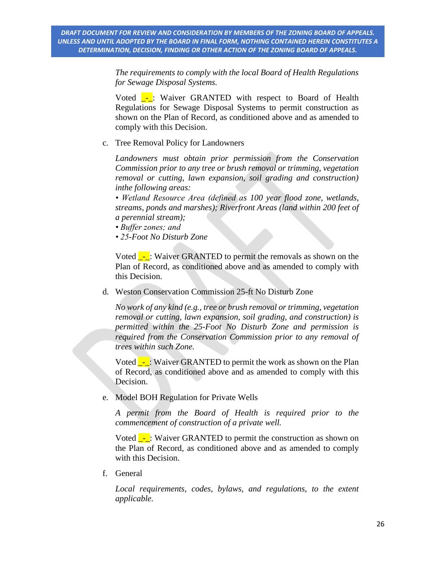*The requirements to comply with the local Board of Health Regulations for Sewage Disposal Systems.*

Voted **\_-**: Waiver GRANTED with respect to Board of Health Regulations for Sewage Disposal Systems to permit construction as shown on the Plan of Record, as conditioned above and as amended to comply with this Decision.

c. Tree Removal Policy for Landowners

*Landowners must obtain prior permission from the Conservation Commission prior to any tree or brush removal or trimming, vegetation removal or cutting, lawn expansion, soil grading and construction) inthe following areas:*

*• Wetland Resource Area (defined as 100 year flood zone, wetlands, streams, ponds and marshes); Riverfront Areas (land within 200 feet of a perennial stream);*

- *Buffer zones; and*
- *25-Foot No Disturb Zone*

Voted  $\overline{\phantom{a}}$ : Waiver GRANTED to permit the removals as shown on the Plan of Record, as conditioned above and as amended to comply with this Decision.

d. Weston Conservation Commission 25-ft No Disturb Zone

*No work of any kind (e.g., tree or brush removal or trimming, vegetation removal or cutting, lawn expansion, soil grading, and construction) is permitted within the 25-Foot No Disturb Zone and permission is required from the Conservation Commission prior to any removal of trees within such Zone.*

Voted  $\overline{\phantom{a}}$ : Waiver GRANTED to permit the work as shown on the Plan of Record, as conditioned above and as amended to comply with this Decision.

e. Model BOH Regulation for Private Wells

*A permit from the Board of Health is required prior to the commencement of construction of a private well.*

Voted  $\frac{1}{\sqrt{2}}$ : Waiver GRANTED to permit the construction as shown on the Plan of Record, as conditioned above and as amended to comply with this Decision.

f. General

Local requirements, codes, bylaws, and regulations, to the extent *applicable.*